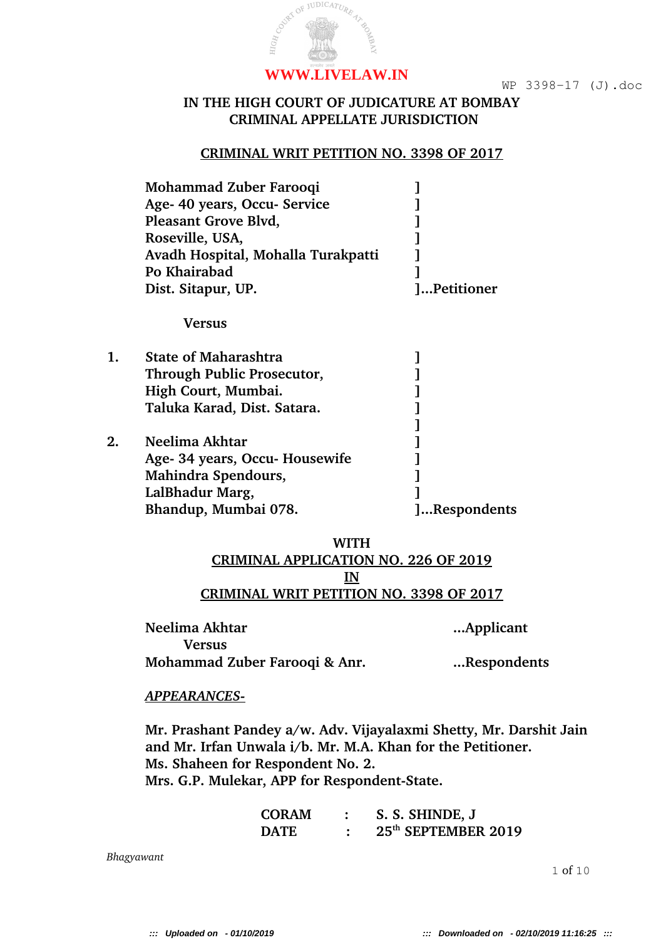### **IN THE HIGH COURT OF JUDICATURE AT BOMBAY CRIMINAL APPELLATE JURISDICTION**

# **CRIMINAL WRIT PETITION NO. 3398 OF 2017**

| Mohammad Zuber Farooqi<br>Age- 40 years, Occu- Service<br>Pleasant Grove Blvd,<br>Roseville, USA,<br>Avadh Hospital, Mohalla Turakpatti |             |
|-----------------------------------------------------------------------------------------------------------------------------------------|-------------|
| Po Khairabad<br>Dist. Sitapur, UP.                                                                                                      | ]Petitioner |
| Vers11s                                                                                                                                 |             |

| <b>State of Maharashtra</b><br>Through Public Prosecutor, |              |
|-----------------------------------------------------------|--------------|
| High Court, Mumbai.                                       |              |
| Taluka Karad, Dist. Satara.                               |              |
|                                                           |              |
| Neelima Akhtar                                            |              |
| Age- 34 years, Occu- Housewife                            |              |
| Mahindra Spendours,                                       |              |
| LalBhadur Marg,                                           |              |
| Bhandup, Mumbai 078.                                      | ]Respondents |
|                                                           |              |

## **WITH CRIMINAL APPLICATION NO. 226 OF 2019 IN CRIMINAL WRIT PETITION NO. 3398 OF 2017**

| Neelima Akhtar                | Applicant   |  |
|-------------------------------|-------------|--|
| <b>Versus</b>                 |             |  |
| Mohammad Zuber Farooqi & Anr. | Respondents |  |

### *APPEARANCES-*

**Mr. Prashant Pandey a/w. Adv. Vijayalaxmi Shetty, Mr. Darshit Jain and Mr. Irfan Unwala i/b. Mr. M.A. Khan for the Petitioner. Ms. Shaheen for Respondent No. 2.** Mrs. G.P. Mulekar, APP for Respondent-State.

| <b>CORAM</b> | S. S. SHINDE, J                 |
|--------------|---------------------------------|
| <b>DATE</b>  | 25 <sup>th</sup> SEPTEMBER 2019 |

*Bhagyawant*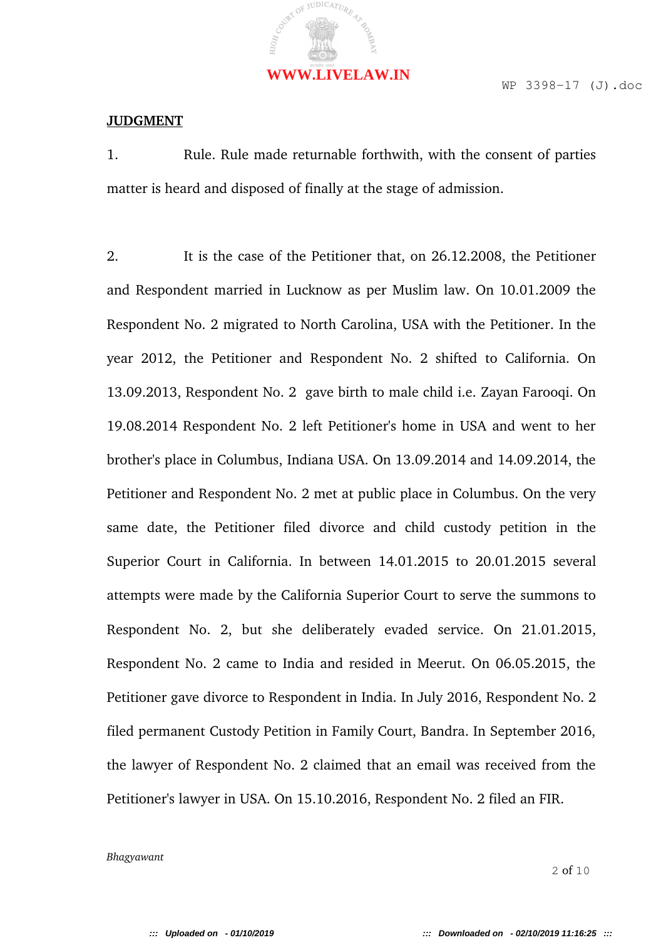#### **JUDGMENT**

1. Rule. Rule made returnable forthwith, with the consent of parties matter is heard and disposed of finally at the stage of admission.

2. It is the case of the Petitioner that, on 26.12.2008, the Petitioner and Respondent married in Lucknow as per Muslim law. On 10.01.2009 the Respondent No. 2 migrated to North Carolina, USA with the Petitioner. In the year 2012, the Petitioner and Respondent No. 2 shifted to California. On 13.09.2013, Respondent No. 2 gave birth to male child i.e. Zayan Farooqi. On 19.08.2014 Respondent No. 2 left Petitioner's home in USA and went to her brother's place in Columbus, Indiana USA. On 13.09.2014 and 14.09.2014, the Petitioner and Respondent No. 2 met at public place in Columbus. On the very same date, the Petitioner filed divorce and child custody petition in the Superior Court in California. In between 14.01.2015 to 20.01.2015 several attempts were made by the California Superior Court to serve the summons to Respondent No. 2, but she deliberately evaded service. On 21.01.2015, Respondent No. 2 came to India and resided in Meerut. On 06.05.2015, the Petitioner gave divorce to Respondent in India. In July 2016, Respondent No. 2 filed permanent Custody Petition in Family Court, Bandra. In September 2016, the lawyer of Respondent No. 2 claimed that an email was received from the Petitioner's lawyer in USA. On 15.10.2016, Respondent No. 2 filed an FIR.

*Bhagyawant*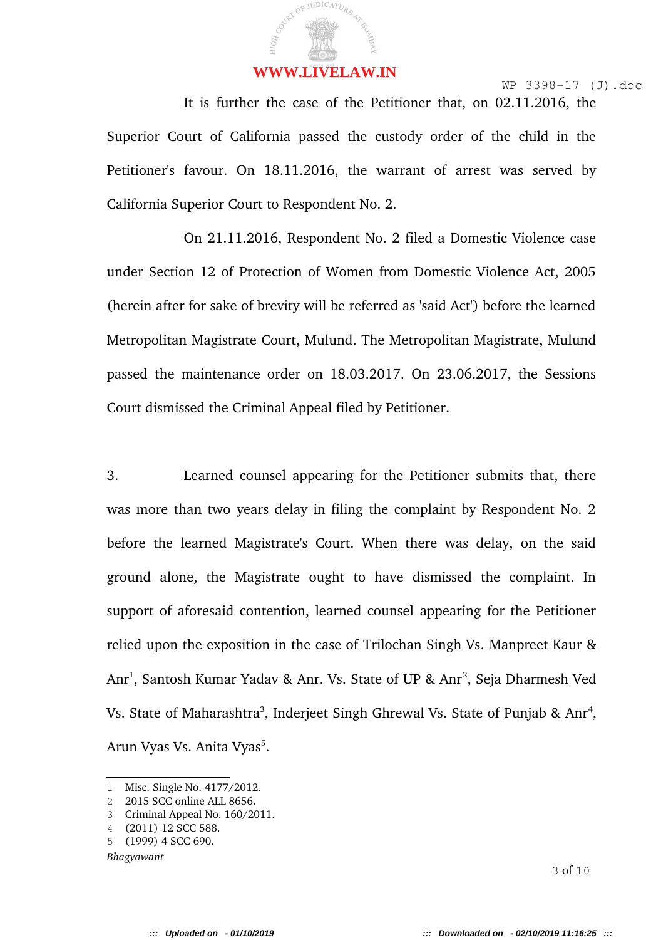It is further the case of the Petitioner that, on 02.11.2016, the Superior Court of California passed the custody order of the child in the Petitioner's favour. On 18.11.2016, the warrant of arrest was served by California Superior Court to Respondent No. 2.

On 21.11.2016, Respondent No. 2 filed a Domestic Violence case under Section 12 of Protection of Women from Domestic Violence Act, 2005 (herein after for sake of brevity will be referred as 'said Act') before the learned Metropolitan Magistrate Court, Mulund. The Metropolitan Magistrate, Mulund passed the maintenance order on 18.03.2017. On 23.06.2017, the Sessions Court dismissed the Criminal Appeal filed by Petitioner.

3. Learned counsel appearing for the Petitioner submits that, there was more than two years delay in filing the complaint by Respondent No. 2 before the learned Magistrate's Court. When there was delay, on the said ground alone, the Magistrate ought to have dismissed the complaint. In support of aforesaid contention, learned counsel appearing for the Petitioner relied upon the exposition in the case of Trilochan Singh Vs. Manpreet Kaur & Anr<sup>1</sup>, Santosh Kumar Yadav & Anr. Vs. State of UP & Anr<sup>2</sup>, Seja Dharmesh Ved Vs. State of Maharashtra<sup>3</sup>, Inderjeet Singh Ghrewal Vs. State of Punjab & Anr<sup>4</sup>, Arun Vyas Vs. Anita Vyas<sup>5</sup>.

*Bhagyawant*

<sup>1</sup> Misc. Single No. 4177/2012.

<sup>2</sup> 2015 SCC online ALL 8656.

<sup>3</sup> Criminal Appeal No. 160/2011.

<sup>4</sup> (2011) 12 SCC 588.

<sup>5</sup> (1999) 4 SCC 690.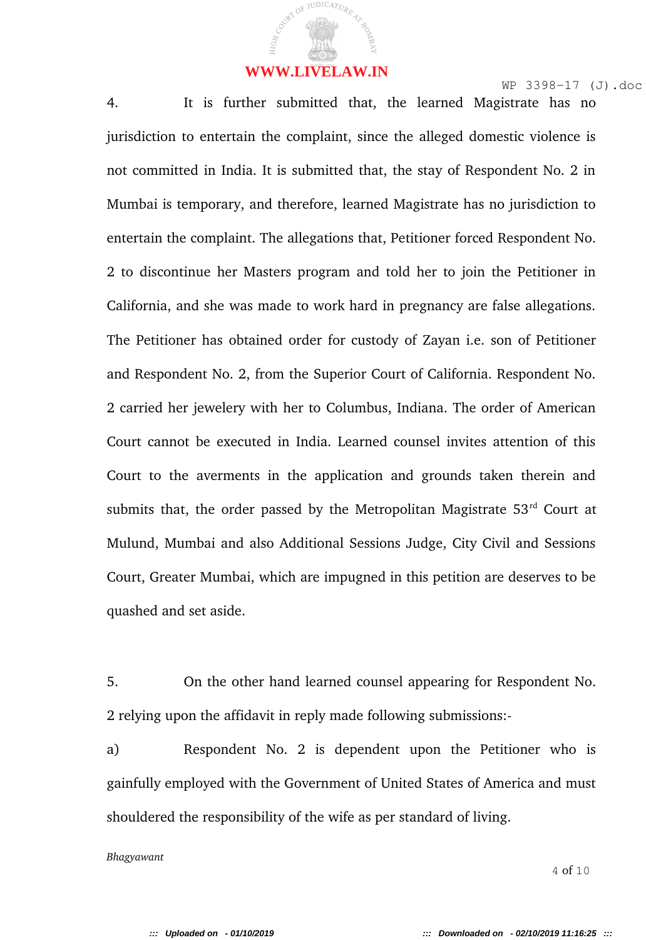4. It is further submitted that, the learned Magistrate has no jurisdiction to entertain the complaint, since the alleged domestic violence is not committed in India. It is submitted that, the stay of Respondent No. 2 in Mumbai is temporary, and therefore, learned Magistrate has no jurisdiction to entertain the complaint. The allegations that, Petitioner forced Respondent No. 2 to discontinue her Masters program and told her to join the Petitioner in California, and she was made to work hard in pregnancy are false allegations. The Petitioner has obtained order for custody of Zayan i.e. son of Petitioner and Respondent No. 2, from the Superior Court of California. Respondent No. 2 carried her jewelery with her to Columbus, Indiana. The order of American Court cannot be executed in India. Learned counsel invites attention of this Court to the averments in the application and grounds taken therein and submits that, the order passed by the Metropolitan Magistrate  $53<sup>rd</sup>$  Court at Mulund, Mumbai and also Additional Sessions Judge, City Civil and Sessions Court, Greater Mumbai, which are impugned in this petition are deserves to be quashed and set aside.

5. On the other hand learned counsel appearing for Respondent No. 2 relying upon the affidavit in reply made following submissions:

a) Respondent No. 2 is dependent upon the Petitioner who is gainfully employed with the Government of United States of America and must shouldered the responsibility of the wife as per standard of living.

*Bhagyawant*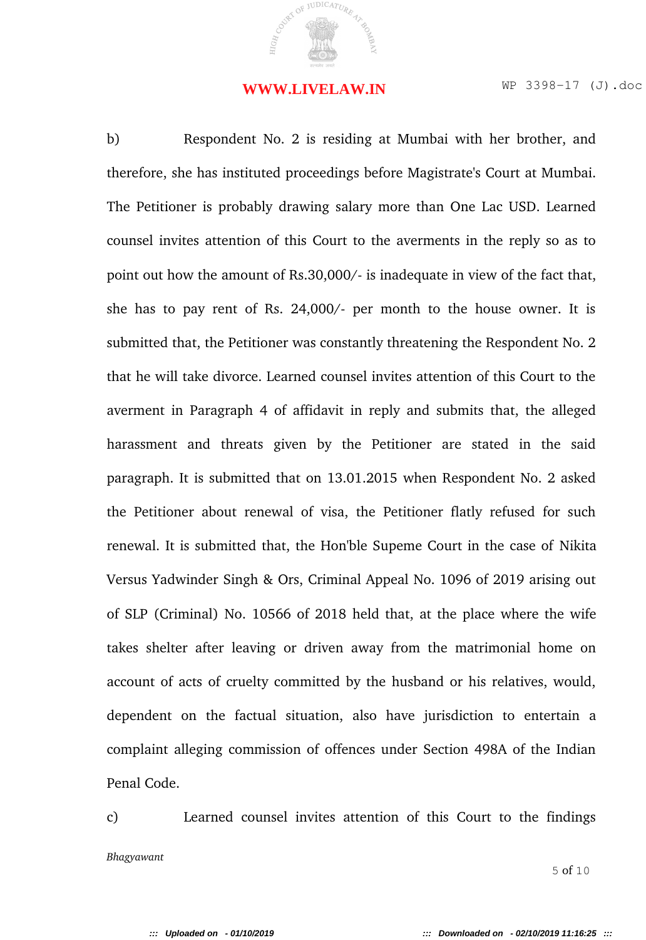#### **WWW.LIVELAW.IN**

b) Respondent No. 2 is residing at Mumbai with her brother, and therefore, she has instituted proceedings before Magistrate's Court at Mumbai. The Petitioner is probably drawing salary more than One Lac USD. Learned counsel invites attention of this Court to the averments in the reply so as to point out how the amount of Rs.30,000/ is inadequate in view of the fact that, she has to pay rent of Rs.  $24,000/$ - per month to the house owner. It is submitted that, the Petitioner was constantly threatening the Respondent No. 2 that he will take divorce. Learned counsel invites attention of this Court to the averment in Paragraph 4 of affidavit in reply and submits that, the alleged harassment and threats given by the Petitioner are stated in the said paragraph. It is submitted that on 13.01.2015 when Respondent No. 2 asked the Petitioner about renewal of visa, the Petitioner flatly refused for such renewal. It is submitted that, the Hon'ble Supeme Court in the case of Nikita Versus Yadwinder Singh & Ors, Criminal Appeal No. 1096 of 2019 arising out of SLP (Criminal) No. 10566 of 2018 held that, at the place where the wife takes shelter after leaving or driven away from the matrimonial home on account of acts of cruelty committed by the husband or his relatives, would, dependent on the factual situation, also have jurisdiction to entertain a complaint alleging commission of offences under Section 498A of the Indian Penal Code.

c) Learned counsel invites attention of this Court to the findings *Bhagyawant* 5 of 10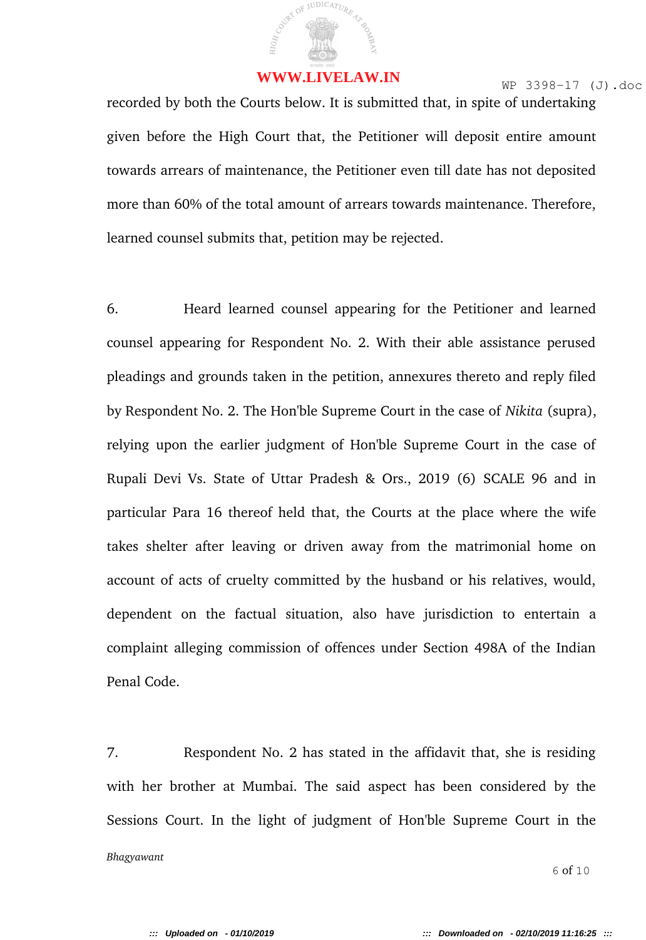#### WWW.WW.LIVELAW.IN

recorded by both the Courts below. It is submitted that, in spite of undertaking given before the High Court that, the Petitioner will deposit entire amount towards arrears of maintenance, the Petitioner even till date has not deposited more than 60% of the total amount of arrears towards maintenance. Therefore, learned counsel submits that, petition may be rejected.

6. Heard learned counsel appearing for the Petitioner and learned counsel appearing for Respondent No. 2. With their able assistance perused pleadings and grounds taken in the petition, annexures thereto and reply filed by Respondent No. 2. The Hon'ble Supreme Court in the case of *Nikita* (supra), relying upon the earlier judgment of Hon'ble Supreme Court in the case of Rupali Devi Vs. State of Uttar Pradesh & Ors., 2019 (6) SCALE 96 and in particular Para 16 thereof held that, the Courts at the place where the wife takes shelter after leaving or driven away from the matrimonial home on account of acts of cruelty committed by the husband or his relatives, would, dependent on the factual situation, also have jurisdiction to entertain a complaint alleging commission of offences under Section 498A of the Indian Penal Code.

7. Respondent No. 2 has stated in the affidavit that, she is residing with her brother at Mumbai. The said aspect has been considered by the Sessions Court. In the light of judgment of Hon'ble Supreme Court in the *Bhagyawant*  $6$  of  $10$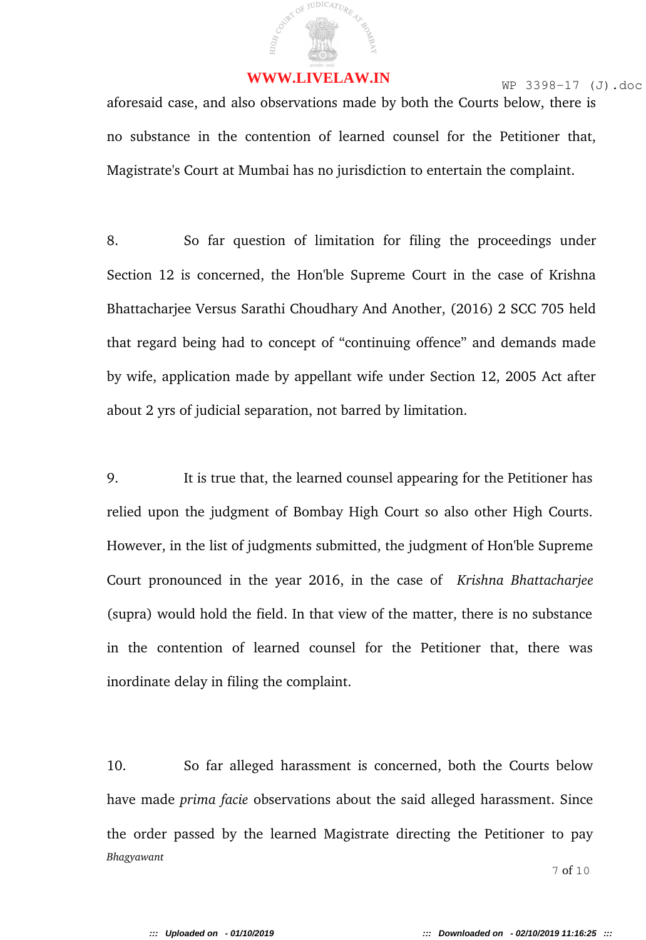

aforesaid case, and also observations made by both the Courts below, there is no substance in the contention of learned counsel for the Petitioner that, Magistrate's Court at Mumbai has no jurisdiction to entertain the complaint.

8. So far question of limitation for filing the proceedings under Section 12 is concerned, the Hon'ble Supreme Court in the case of Krishna Bhattacharjee Versus Sarathi Choudhary And Another, (2016) 2 SCC 705 held that regard being had to concept of "continuing offence" and demands made by wife, application made by appellant wife under Section 12, 2005 Act after about 2 yrs of judicial separation, not barred by limitation.

9. It is true that, the learned counsel appearing for the Petitioner has relied upon the judgment of Bombay High Court so also other High Courts. However, in the list of judgments submitted, the judgment of Hon'ble Supreme Court pronounced in the year 2016, in the case of *Krishna Bhattacharjee* (supra) would hold the field. In that view of the matter, there is no substance in the contention of learned counsel for the Petitioner that, there was inordinate delay in filing the complaint.

10. So far alleged harassment is concerned, both the Courts below have made *prima facie* observations about the said alleged harassment. Since the order passed by the learned Magistrate directing the Petitioner to pay *Bhagyawant* 7 of 10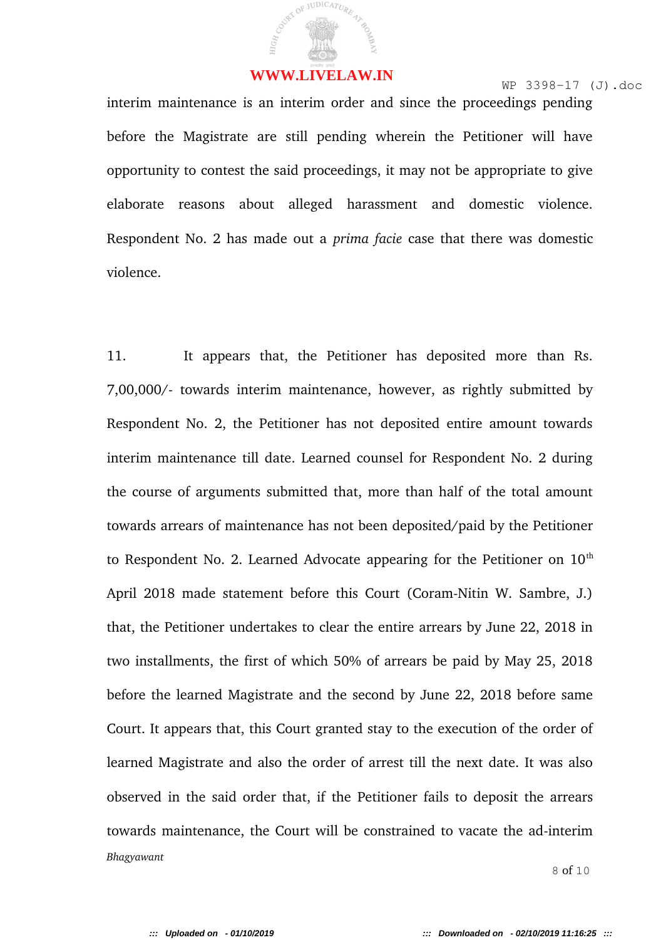interim maintenance is an interim order and since the proceedings pending before the Magistrate are still pending wherein the Petitioner will have opportunity to contest the said proceedings, it may not be appropriate to give elaborate reasons about alleged harassment and domestic violence. Respondent No. 2 has made out a *prima facie* case that there was domestic violence.

11. It appears that, the Petitioner has deposited more than Rs. 7,00,000/ towards interim maintenance, however, as rightly submitted by Respondent No. 2, the Petitioner has not deposited entire amount towards interim maintenance till date. Learned counsel for Respondent No. 2 during the course of arguments submitted that, more than half of the total amount towards arrears of maintenance has not been deposited/paid by the Petitioner to Respondent No. 2. Learned Advocate appearing for the Petitioner on  $10<sup>th</sup>$ April 2018 made statement before this Court (Coram-Nitin W. Sambre, J.) that, the Petitioner undertakes to clear the entire arrears by June 22, 2018 in two installments, the first of which 50% of arrears be paid by May 25, 2018 before the learned Magistrate and the second by June 22, 2018 before same Court. It appears that, this Court granted stay to the execution of the order of learned Magistrate and also the order of arrest till the next date. It was also observed in the said order that, if the Petitioner fails to deposit the arrears towards maintenance, the Court will be constrained to vacate the ad-interim *Bhagyawant* 8 of 10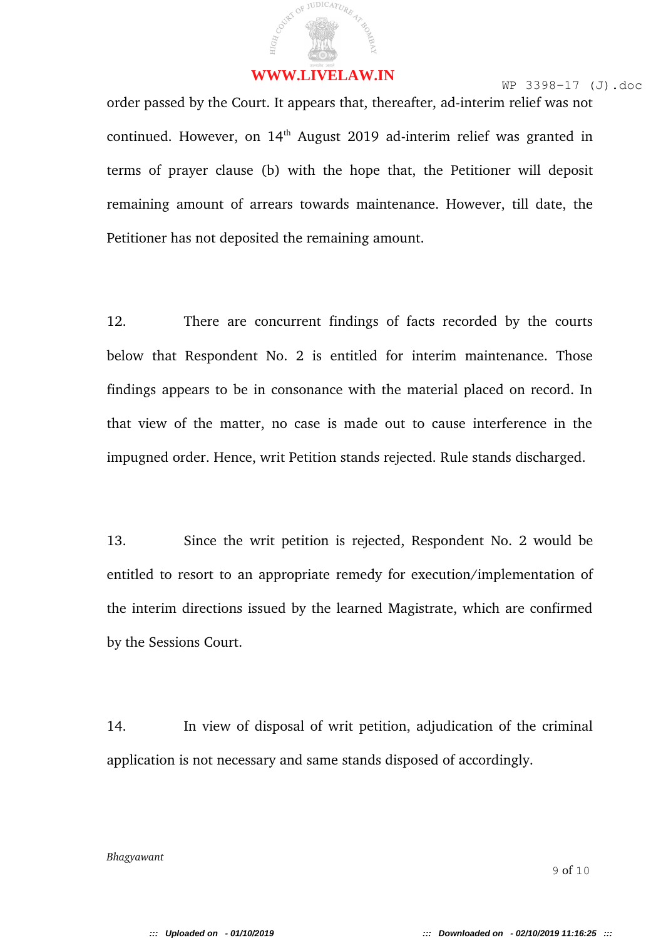order passed by the Court. It appears that, thereafter, ad-interim relief was not continued. However, on 14<sup>th</sup> August 2019 ad-interim relief was granted in terms of prayer clause (b) with the hope that, the Petitioner will deposit remaining amount of arrears towards maintenance. However, till date, the Petitioner has not deposited the remaining amount.

12. There are concurrent findings of facts recorded by the courts below that Respondent No. 2 is entitled for interim maintenance. Those findings appears to be in consonance with the material placed on record. In that view of the matter, no case is made out to cause interference in the impugned order. Hence, writ Petition stands rejected. Rule stands discharged.

13. Since the writ petition is rejected, Respondent No. 2 would be entitled to resort to an appropriate remedy for execution/implementation of the interim directions issued by the learned Magistrate, which are confirmed by the Sessions Court.

14. In view of disposal of writ petition, adjudication of the criminal application is not necessary and same stands disposed of accordingly.

*Bhagyawant*